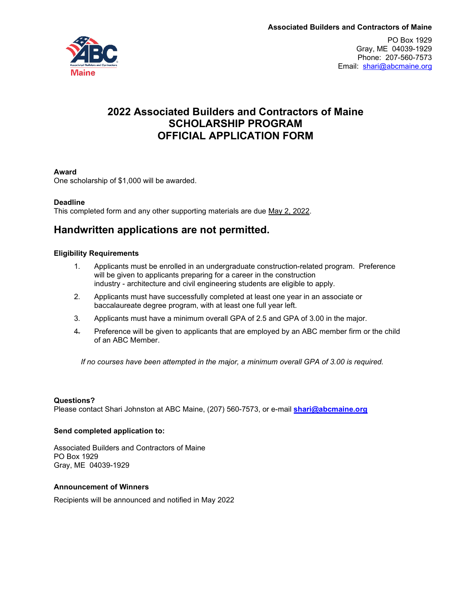

PO Box 1929 Gray, ME 04039-1929 Phone: 207-560-7573 Email: [shari@abcmaine.org](mailto:shari@abcmaine.org)

# **2022 Associated Builders and Contractors of Maine SCHOLARSHIP PROGRAM OFFICIAL APPLICATION FORM**

### **Award**

One scholarship of \$1,000 will be awarded.

#### **Deadline**

This completed form and any other supporting materials are due May 2, 2022.

# **Handwritten applications are not permitted.**

#### **Eligibility Requirements**

- 1. Applicants must be enrolled in an undergraduate construction-related program. Preference will be given to applicants preparing for a career in the construction industry - architecture and civil engineering students are eligible to apply*.*
- 2. Applicants must have successfully completed at least one year in an associate or baccalaureate degree program, with at least one full year left.
- 3. Applicants must have a minimum overall GPA of 2.5 and GPA of 3.00 in the major.
- 4. Preference will be given to applicants that are employed by an ABC member firm or the child of an ABC Member.

*If no courses have been attempted in the major, a minimum overall GPA of 3.00 is required.*

### **Questions?**

Please contact Shari Johnston at ABC Maine, (207) 560-7573, or e-mail **[shari@abcmaine.org](mailto:shari@abcmaine.org)**

#### **Send completed application to:**

Associated Builders and Contractors of Maine PO Box 1929 Gray, ME 04039-1929

#### **Announcement of Winners**

Recipients will be announced and notified in May 2022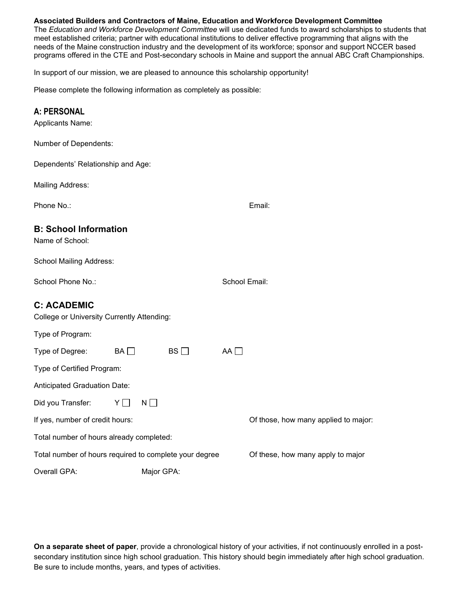### **Associated Builders and Contractors of Maine, Education and Workforce Development Committee**

The *Education and Workforce Development Committee* will use dedicated funds to award scholarships to students that meet established criteria; partner with educational institutions to deliver effective programming that aligns with the needs of the Maine construction industry and the development of its workforce; sponsor and support NCCER based programs offered in the CTE and Post-secondary schools in Maine and support the annual ABC Craft Championships*.*

In support of our mission, we are pleased to announce this scholarship opportunity!

Please complete the following information as completely as possible:

### **A: PERSONAL**

| Applicants Name: |  |
|------------------|--|
|------------------|--|

Number of Dependents:

Dependents' Relationship and Age:

Mailing Address:

Phone No.: Email: Email: Email: Email: Email: Email: Email: Email: Email: Email: Email: Email: Email: Email: Email: Email: Email: Email: Email: Email: Email: Email: Email: Email: Email: Email: Email: Email: Email: Email: E

## **B: School Information**

Name of School:

School Mailing Address:

School Phone No.: School Email:

## **C: ACADEMIC**

College or University Currently Attending:

Type of Program:

| Type on Frogram.                                       |                 |           |    |                                      |  |  |
|--------------------------------------------------------|-----------------|-----------|----|--------------------------------------|--|--|
| Type of Degree:                                        | $BA \Box$       | $BS \Box$ | AA |                                      |  |  |
| Type of Certified Program:                             |                 |           |    |                                      |  |  |
| Anticipated Graduation Date:                           |                 |           |    |                                      |  |  |
| Did you Transfer:                                      | $N \mid$<br>YII |           |    |                                      |  |  |
| If yes, number of credit hours:                        |                 |           |    | Of those, how many applied to major: |  |  |
| Total number of hours already completed:               |                 |           |    |                                      |  |  |
| Total number of hours required to complete your degree |                 |           |    | Of these, how many apply to major    |  |  |
| Overall GPA:                                           | Major GPA:      |           |    |                                      |  |  |

**On a separate sheet of paper**, provide a chronological history of your activities, if not continuously enrolled in a postsecondary institution since high school graduation. This history should begin immediately after high school graduation. Be sure to include months, years, and types of activities.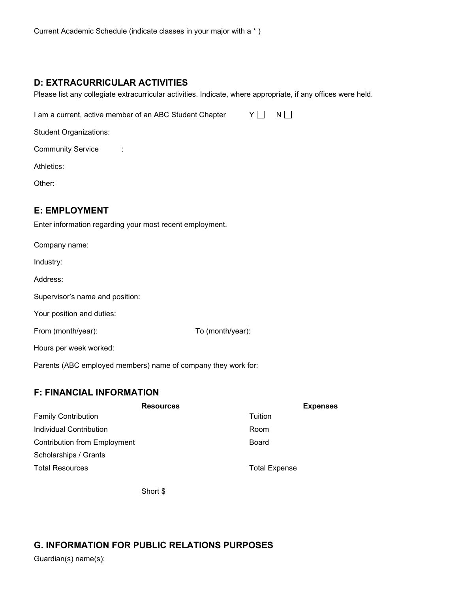## **D: EXTRACURRICULAR ACTIVITIES**

Please list any collegiate extracurricular activities. Indicate, where appropriate, if any offices were held.

I am a current, active member of an ABC Student Chapter  $Y \Box \quad N \Box$ 

Student Organizations:

Community Service :

Athletics:

Other:

## **E: EMPLOYMENT**

Enter information regarding your most recent employment.

| Company name:                                                 |                  |  |
|---------------------------------------------------------------|------------------|--|
| Industry:                                                     |                  |  |
| Address:                                                      |                  |  |
| Supervisor's name and position:                               |                  |  |
| Your position and duties:                                     |                  |  |
| From (month/year):                                            | To (month/year): |  |
| Hours per week worked:                                        |                  |  |
| Parents (ABC employed members) name of company they work for: |                  |  |

## **F: FINANCIAL INFORMATION**

| <b>Resources</b>                    | <b>Expenses</b>      |
|-------------------------------------|----------------------|
| <b>Family Contribution</b>          | Tuition              |
| Individual Contribution             | Room                 |
| <b>Contribution from Employment</b> | Board                |
| Scholarships / Grants               |                      |
| <b>Total Resources</b>              | <b>Total Expense</b> |

Short \$

# **G. INFORMATION FOR PUBLIC RELATIONS PURPOSES**

Guardian(s) name(s):